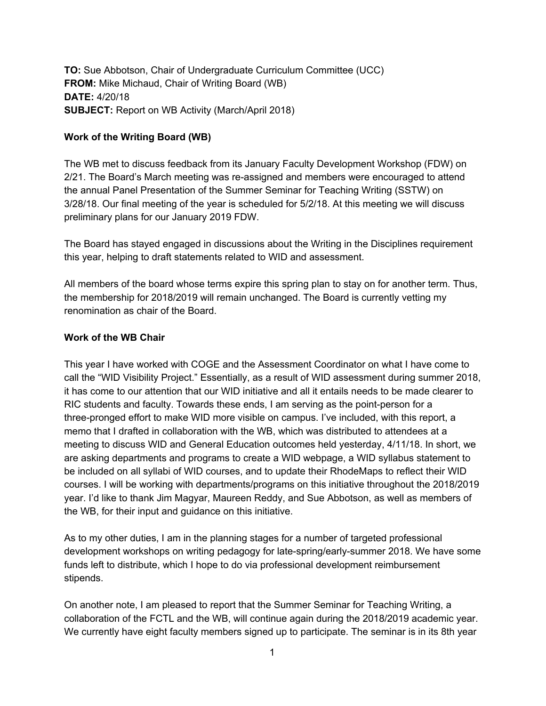**TO:** Sue Abbotson, Chair of Undergraduate Curriculum Committee (UCC) **FROM:** Mike Michaud, Chair of Writing Board (WB) **DATE:** 4/20/18 **SUBJECT:** Report on WB Activity (March/April 2018)

## **Work of the Writing Board (WB)**

The WB met to discuss feedback from its January Faculty Development Workshop (FDW) on 2/21. The Board's March meeting was re-assigned and members were encouraged to attend the annual Panel Presentation of the Summer Seminar for Teaching Writing (SSTW) on 3/28/18. Our final meeting of the year is scheduled for 5/2/18. At this meeting we will discuss preliminary plans for our January 2019 FDW.

The Board has stayed engaged in discussions about the Writing in the Disciplines requirement this year, helping to draft statements related to WID and assessment.

All members of the board whose terms expire this spring plan to stay on for another term. Thus, the membership for 2018/2019 will remain unchanged. The Board is currently vetting my renomination as chair of the Board.

## **Work of the WB Chair**

This year I have worked with COGE and the Assessment Coordinator on what I have come to call the "WID Visibility Project." Essentially, as a result of WID assessment during summer 2018, it has come to our attention that our WID initiative and all it entails needs to be made clearer to RIC students and faculty. Towards these ends, I am serving as the point-person for a three-pronged effort to make WID more visible on campus. I've included, with this report, a memo that I drafted in collaboration with the WB, which was distributed to attendees at a meeting to discuss WID and General Education outcomes held yesterday, 4/11/18. In short, we are asking departments and programs to create a WID webpage, a WID syllabus statement to be included on all syllabi of WID courses, and to update their RhodeMaps to reflect their WID courses. I will be working with departments/programs on this initiative throughout the 2018/2019 year. I'd like to thank Jim Magyar, Maureen Reddy, and Sue Abbotson, as well as members of the WB, for their input and guidance on this initiative.

As to my other duties, I am in the planning stages for a number of targeted professional development workshops on writing pedagogy for late-spring/early-summer 2018. We have some funds left to distribute, which I hope to do via professional development reimbursement stipends.

On another note, I am pleased to report that the Summer Seminar for Teaching Writing, a collaboration of the FCTL and the WB, will continue again during the 2018/2019 academic year. We currently have eight faculty members signed up to participate. The seminar is in its 8th year